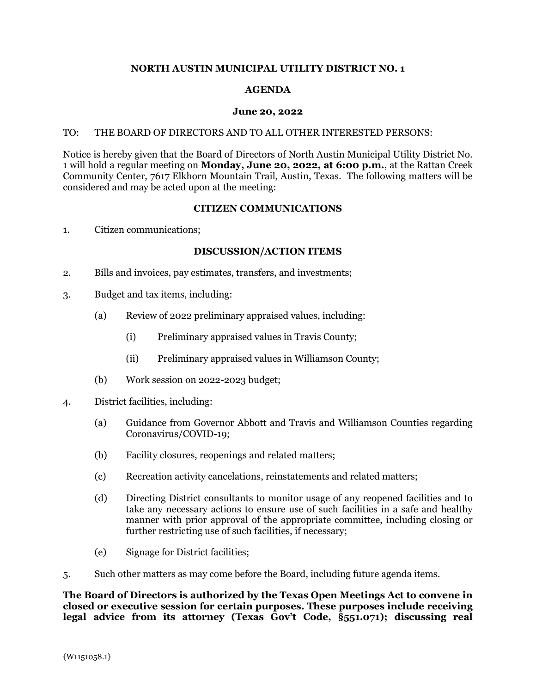## **NORTH AUSTIN MUNICIPAL UTILITY DISTRICT NO. 1**

# **AGENDA**

### **June 20, 2022**

### TO: THE BOARD OF DIRECTORS AND TO ALL OTHER INTERESTED PERSONS:

Notice is hereby given that the Board of Directors of North Austin Municipal Utility District No. 1 will hold a regular meeting on **Monday, June 20, 2022, at 6:00 p.m.**, at the Rattan Creek Community Center, 7617 Elkhorn Mountain Trail, Austin, Texas. The following matters will be considered and may be acted upon at the meeting:

#### **CITIZEN COMMUNICATIONS**

1. Citizen communications;

## **DISCUSSION/ACTION ITEMS**

- 2. Bills and invoices, pay estimates, transfers, and investments;
- 3. Budget and tax items, including:
	- (a) Review of 2022 preliminary appraised values, including:
		- (i) Preliminary appraised values in Travis County;
		- (ii) Preliminary appraised values in Williamson County;
	- (b) Work session on 2022-2023 budget;
- 4. District facilities, including:
	- (a) Guidance from Governor Abbott and Travis and Williamson Counties regarding Coronavirus/COVID-19;
	- (b) Facility closures, reopenings and related matters;
	- (c) Recreation activity cancelations, reinstatements and related matters;
	- (d) Directing District consultants to monitor usage of any reopened facilities and to take any necessary actions to ensure use of such facilities in a safe and healthy manner with prior approval of the appropriate committee, including closing or further restricting use of such facilities, if necessary;
	- (e) Signage for District facilities;
- 5. Such other matters as may come before the Board, including future agenda items.

**The Board of Directors is authorized by the Texas Open Meetings Act to convene in closed or executive session for certain purposes. These purposes include receiving legal advice from its attorney (Texas Gov't Code, §551.071); discussing real**